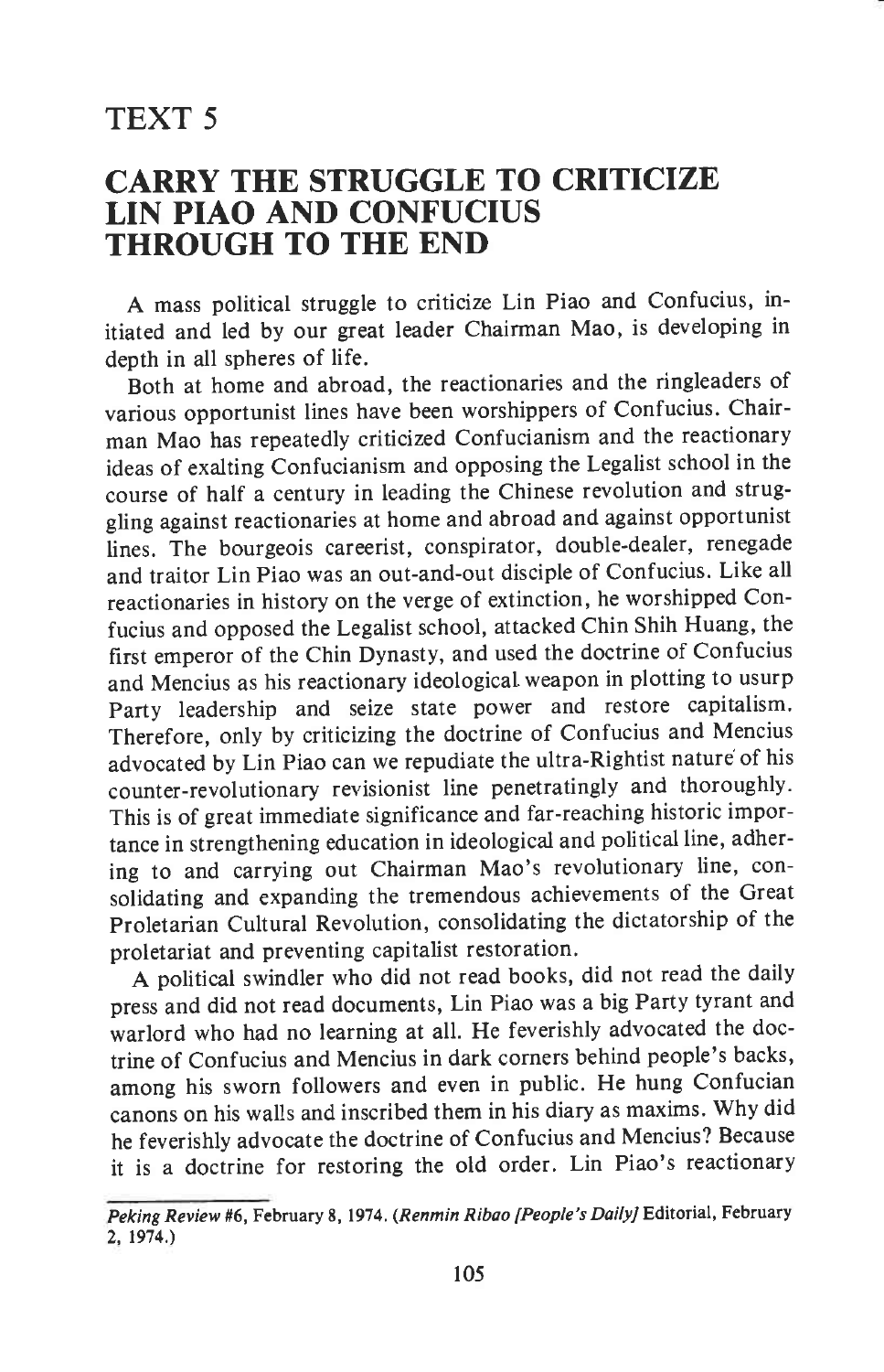## TEXT <sup>5</sup>

## CARRY THE STRUGGLE TO CRITICIZE LIN PIAO AND CONFUCIUS THROUGH TO THE END

A mass politicat struggle to criticize Lin Piao and Confucius, initiated and led by our great leader Chairman Mao, is developing in depth in all spheres of life.

Both at home and abroad, the reactionaries and the ringleaders of various opportunist lines have been worshippers of Confucius. Chairman Mao has repeatedly criticized Confucianism and the reactionary ideas of exalting confucianism and opposing the Legalist school in the course of half a century in leading the Chinese revolution and struggling against reactionaries at home and abroad and against opportunist Iines. The bourgeois careerist, conspirator, double-dealer, renegade and traitor Lin Piao was an out-and-out disciple of confucius. Like all reactionaries in history on the verge of extinction, he worshipped Confucius and opposed the Legalist school, attacked Chin Shih Huang, the first emperor of the Chin Dynasty, and used the doctrine of Confucius and Mencius as his reactionary ideological. weapon in plotting to usurp Party leadership and seize state power and restore capitalism. Therefore, only by criticizing the doctrine of Confucius and Mencius advocated by Lin Piao can we repudiate the ultra-Rightist nature of his counter-revolutionary revisionist line penetratingly and thoroughly. This is of great immediate significance and far-reaching historic importance in strengthening education in ideological and political line, adhering to and carrying out Chairman Mao's revolutionary line, consolidating and expanding the tremendous achievements of the Great Proletarian cultural Revolution, consolidating the dictatorship of the proletariat and preventing capitalist restoration.

A political swindler who did not read books, did not read the daily press and did not read documents, Lin Piao was a big Party tyrant and warlord who had no learning at all. He feverishly advocated the doctrine of Confucius and Mencius in dark corners behind people's backs, among his sworn followers and even in public. He hung confucian canons on his walls and inscribed them in his diary as maxims. why did he feverishly advocate the doctrine of Confucius and Mencius? Because it is a doctrine for restoring the old order. Lin Piao's reactionary

Peking Review #6, February 8, 1974. (Renmin Ribao [People's Daily] Editorial, February 2, 1974;)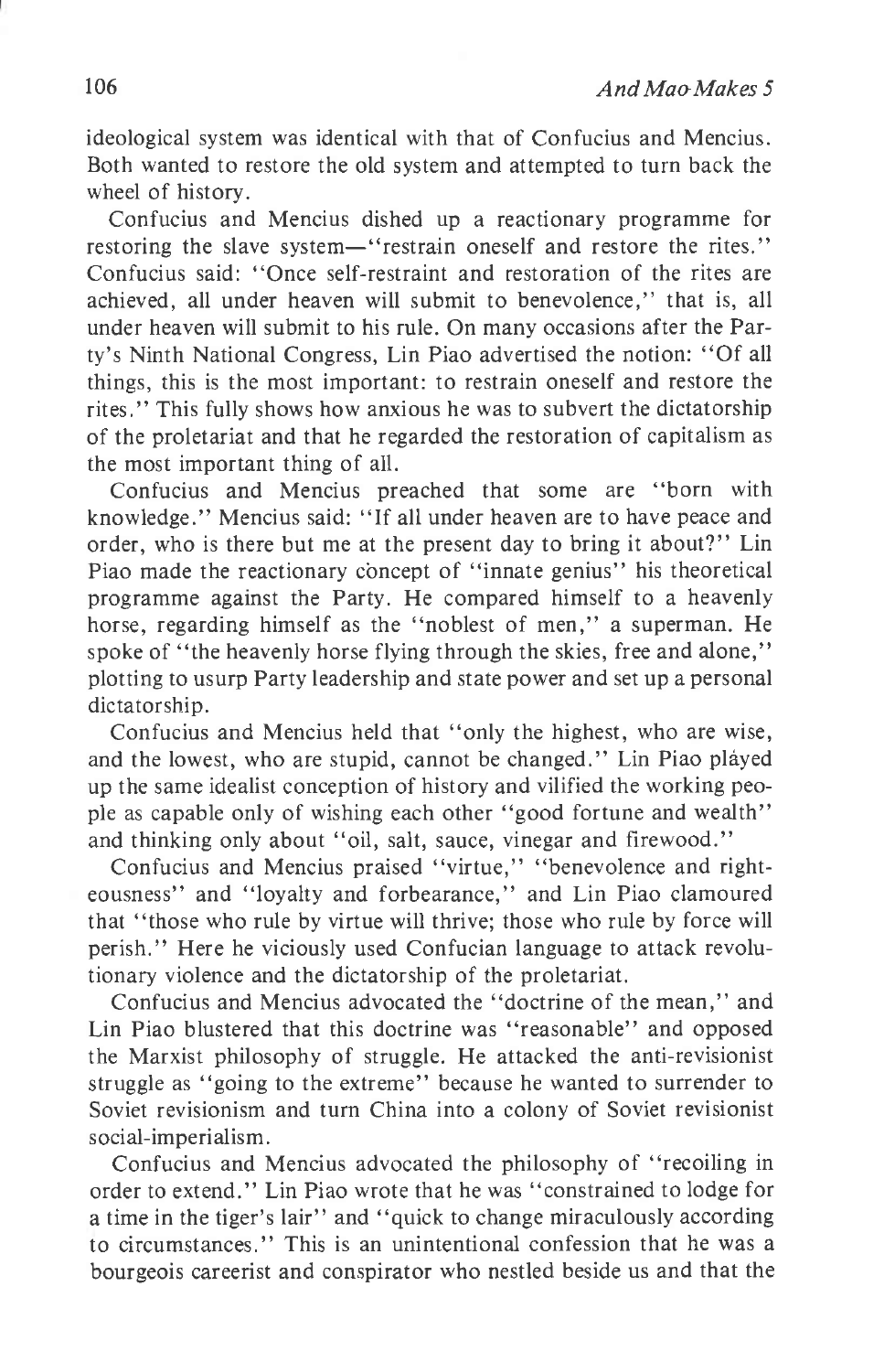ideological system was identical with that of Confucius and Mencius. Both wanted to restore the old system and attempted to turn back the wheel of history.

Confucius and Mencius dished up a reactionary programme for restoring the slave system-"restrain oneself and restore the rites." Confucius said: "Once self-restraint and restoration of the rites are achieved, all under heaven will submit to benevolence," that is, all under heaven will submit to his rule. On many occasions after the Party's Ninth National Congress, Lin Piao advertised the notion: "Of all things, this is the most important: to restrain oneself and restore the rites," This fully shows how anxious he was to subvert the dictatorship of the proletariat and that he regarded the restoration of capitalism as the most important thing of all.

Confucius and Mencius preached that some are "born with knowledge." Mencius said: "If all under heaven are to have peace and order, who is there but me at the present day to bring it about?" Lin Piao made the reactionary concept of "innate genius" his theoretical programme against the Party. He compared himself to a heavenly horse, regarding himself as the "noblest of men," a superman. He spoke of "the heavenly horse flying through the skies, free and alone," plotting to usurp Party leadership and state power and set up a personal dictatorship.

Confucius and Mencius held that "only the highest, who are wise, and the lowest, who are stupid, cannot be changed." Lin Piao played up the same idealist conception of history and vilified the working people as capable only of wishing each other "good fortune and wealth" and thinking only about "oil, salt, sauce, vinegar and firewood."

Confucius and Mencius praised "virtue," "benevolence and righteousness" and "loyalty and forbearance," and Lin Piao clamoured that "those who rule by virtue will thrive; those who rule by force will perish." Here he viciously used Confucian language to attack revolutionary violence and the dictatorship of the proletariat.

Confucius and Mencius advocated the "doctrine of the mean," and Lin Piao blustered that this doctrine was "reasonable" and opposed the Marxist philosophy of struggle. He attacked the anti-revisionist struggle as "going to the extreme" because he wanted to surrender to Soviet revisionism and turn China into a colony of Soviet revisionist social-imperialism.

Confucius and Mencius advocated the philosophy of "recoiling in order to extend." Lin Piao wrote that he was "constrained to lodge for a time in the tiger's lair" and "quick to change miraculously according to circumstances." This is an unintentional confession that he was a bourgeois careerist and conspirator who nestled beside us and that the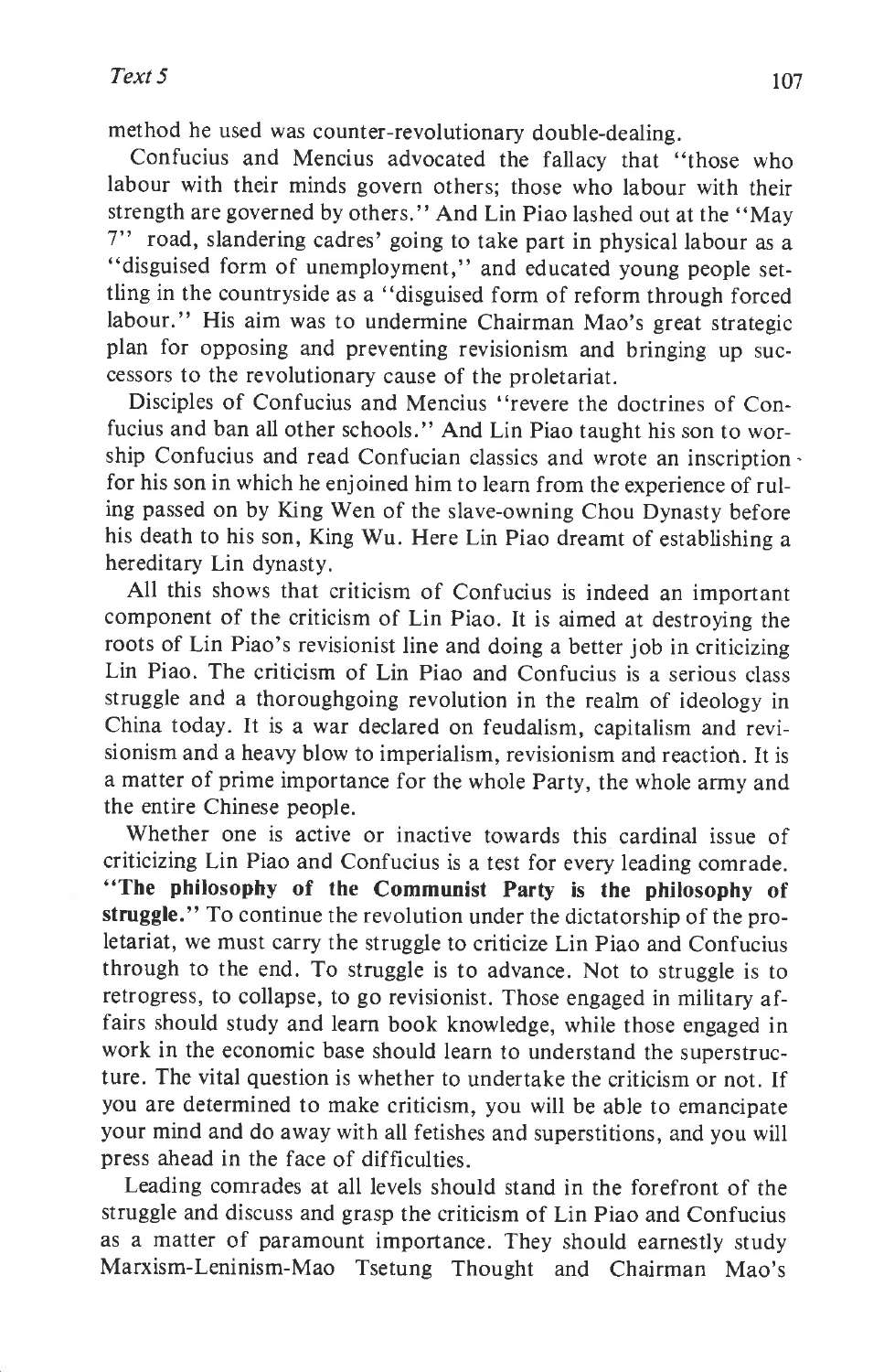method he used was counter-revolutionary double-dealing.

Confucius and Mencius advocated the fallacy that "those who labour with their minds govern others; those who labour with their strength are governed by others." And Lin Piao lashed out at the "May 7" road, slandering cadres' going to take part in physical labour as <sup>a</sup> "disguised form of unemployment," and educated young people settling in the countryside as a "disguised form of reform through forced labour." His aim was to undermine Chairman Mao's great strategic plan for opposing and preventing revisionism and bringing up successors to the revolutionary cause of the proletariat.

Disciples of Confucius and Mencius "revere the doctrines of Confucius and ban all other schools." And Lin Piao taught his son to worship Confucius and read Confucian classics and wrote an inscription . for his son in which he enjoined him to learn from the experience of ruling passed on by King Wen of the slave-owning Chou Dynasty before his death to his son, King Wu. Here Lin Piao dreamt of establishing a hereditary Lin dynasty,

All this shows that criticism of Confucius is indeed an important component of the criticism of Lin Piao. It is aimed at destroying the roots of Lin Piao's revisionist line and doing a better job in criticizing Lin Piao. The criticism of Lin Piao and Confucius is a serious class struggle and a thoroughgoing revolution in the realm of ideology in China today. It is a war declared on feudalism, capitalism and revisionism and a heavy blow to imperialism, revisionism and reaction. It is a matter of prime importance for the whole Party, the whole army and the entire Chinese people.

Whether one is active or inactive towards this cardinal issue of criticizing Lin Piao and Confucius is a test for every leading comrade. "The philosophy of the Communist Party is the philosophy of struggle." To continue the revolution under the dictatorship of the proletariat, we must carry the struggle to criticize Lin Piao and Confucius through to the end. To struggle is to advance. Not to struggle is to retrogress, to collapse, to go revisionist. Those engaged in military affairs should study and learn book knowledge, while those engaged in work in the economic base should learn to understand the superstructure. The vital question is whether to undertake the criticism or not. If you are determined to make criticism, you will be able to emancipate your mind and do away with all fetishes and superstitions, and you will press ahead in the face of difficulties.

Leading comrades at all levels should stand in the forefront of the struggle and discuss and grasp the criticism of Lin Piao and Confucius as a matter of paramount importance. They should earnestly study Marxism-Leninism-Mao Tsetung Thought and Chairman Mao's